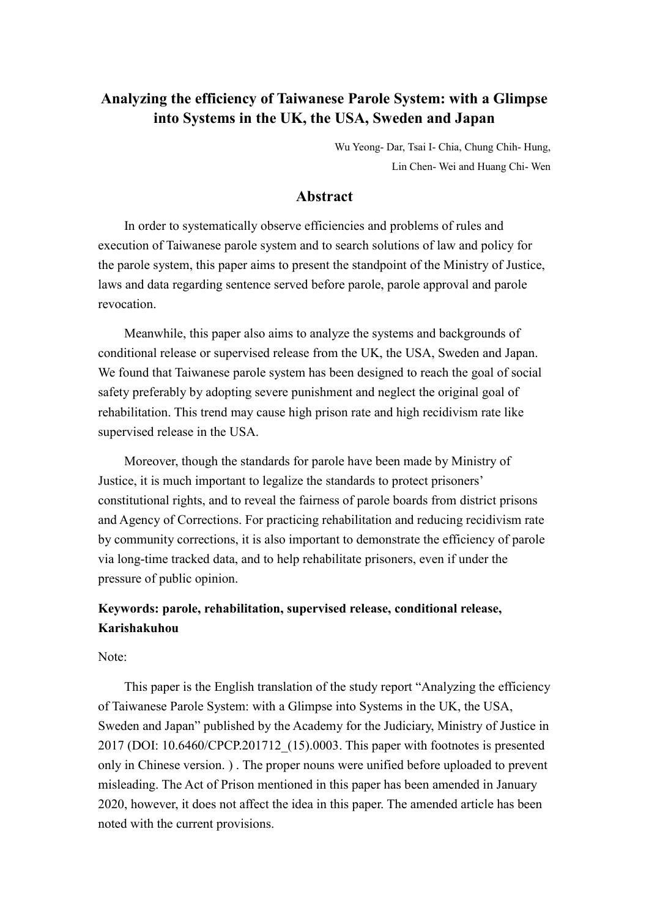# **Analyzing the efficiency of Taiwanese Parole System: with a Glimpse into Systems in the UK, the USA, Sweden and Japan**

Wu Yeong- Dar, Tsai I- Chia, Chung Chih- Hung, Lin Chen- Wei and Huang Chi- Wen

## **Abstract**

In order to systematically observe efficiencies and problems of rules and execution of Taiwanese parole system and to search solutions of law and policy for the parole system, this paper aims to present the standpoint of the Ministry of Justice, laws and data regarding sentence served before parole, parole approval and parole revocation.

Meanwhile, this paper also aims to analyze the systems and backgrounds of conditional release or supervised release from the UK, the USA, Sweden and Japan. We found that Taiwanese parole system has been designed to reach the goal of social safety preferably by adopting severe punishment and neglect the original goal of rehabilitation. This trend may cause high prison rate and high recidivism rate like supervised release in the USA.

Moreover, though the standards for parole have been made by Ministry of Justice, it is much important to legalize the standards to protect prisoners' constitutional rights, and to reveal the fairness of parole boards from district prisons and Agency of Corrections. For practicing rehabilitation and reducing recidivism rate by community corrections, it is also important to demonstrate the efficiency of parole via long-time tracked data, and to help rehabilitate prisoners, even if under the pressure of public opinion.

# **Keywords: parole, rehabilitation, supervised release, conditional release, Karishakuhou**

Note:

This paper is the English translation of the study report "Analyzing the efficiency of Taiwanese Parole System: with a Glimpse into Systems in the UK, the USA, Sweden and Japan" published by the Academy for the Judiciary, Ministry of Justice in 2017 (DOI: 10.6460/CPCP.201712\_(15).0003. This paper with footnotes is presented only in Chinese version. ) . The proper nouns were unified before uploaded to prevent misleading. The Act of Prison mentioned in this paper has been amended in January 2020, however, it does not affect the idea in this paper. The amended article has been noted with the current provisions.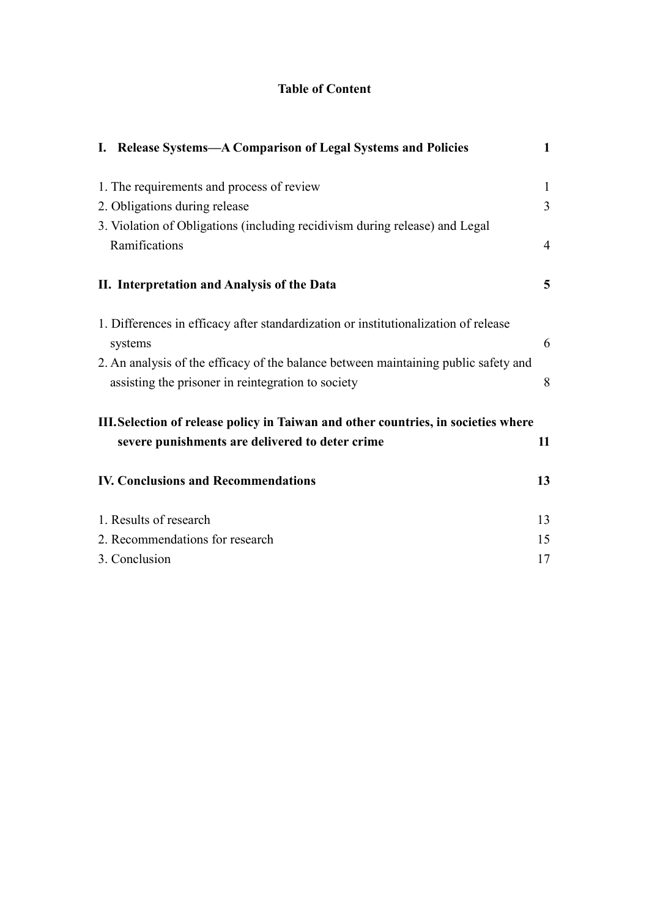## **Table of Content**

| I. Release Systems-A Comparison of Legal Systems and Policies                       | $\mathbf{1}$   |
|-------------------------------------------------------------------------------------|----------------|
| 1. The requirements and process of review                                           | $\mathbf{1}$   |
| 2. Obligations during release                                                       | $\overline{3}$ |
| 3. Violation of Obligations (including recidivism during release) and Legal         |                |
| Ramifications                                                                       | $\overline{4}$ |
| II. Interpretation and Analysis of the Data                                         | 5              |
| 1. Differences in efficacy after standardization or institutionalization of release |                |
| systems                                                                             | 6              |
| 2. An analysis of the efficacy of the balance between maintaining public safety and |                |
| assisting the prisoner in reintegration to society                                  | 8              |
| III. Selection of release policy in Taiwan and other countries, in societies where  |                |
| severe punishments are delivered to deter crime                                     | 11             |
| <b>IV. Conclusions and Recommendations</b>                                          | 13             |
| 1. Results of research                                                              | 13             |
| 2. Recommendations for research                                                     | 15             |
| 3. Conclusion                                                                       | 17             |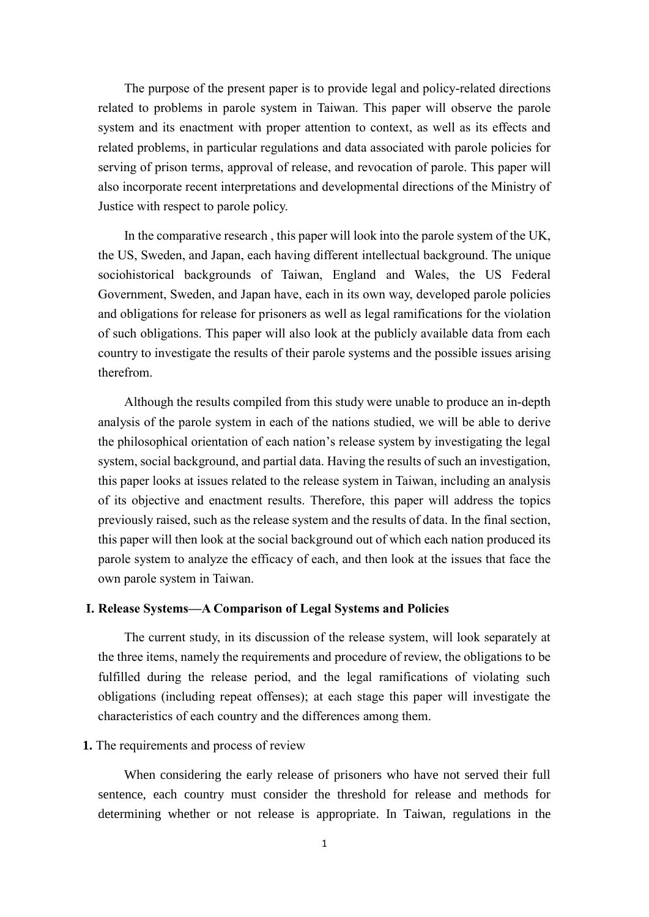The purpose of the present paper is to provide legal and policy-related directions related to problems in parole system in Taiwan. This paper will observe the parole system and its enactment with proper attention to context, as well as its effects and related problems, in particular regulations and data associated with parole policies for serving of prison terms, approval of release, and revocation of parole. This paper will also incorporate recent interpretations and developmental directions of the Ministry of Justice with respect to parole policy.

In the comparative research , this paper will look into the parole system of the UK, the US, Sweden, and Japan, each having different intellectual background. The unique sociohistorical backgrounds of Taiwan, England and Wales, the US Federal Government, Sweden, and Japan have, each in its own way, developed parole policies and obligations for release for prisoners as well as legal ramifications for the violation of such obligations. This paper will also look at the publicly available data from each country to investigate the results of their parole systems and the possible issues arising therefrom.

Although the results compiled from this study were unable to produce an in-depth analysis of the parole system in each of the nations studied, we will be able to derive the philosophical orientation of each nation's release system by investigating the legal system, social background, and partial data. Having the results of such an investigation, this paper looks at issues related to the release system in Taiwan, including an analysis of its objective and enactment results. Therefore, this paper will address the topics previously raised, such as the release system and the results of data. In the final section, this paper will then look at the social background out of which each nation produced its parole system to analyze the efficacy of each, and then look at the issues that face the own parole system in Taiwan.

## <span id="page-2-0"></span>**I. Release Systems—A Comparison of Legal Systems and Policies**

The current study, in its discussion of the release system, will look separately at the three items, namely the requirements and procedure of review, the obligations to be fulfilled during the release period, and the legal ramifications of violating such obligations (including repeat offenses); at each stage this paper will investigate the characteristics of each country and the differences among them.

### <span id="page-2-1"></span>**1.** The requirements and process of review

When considering the early release of prisoners who have not served their full sentence, each country must consider the threshold for release and methods for determining whether or not release is appropriate. In Taiwan, regulations in the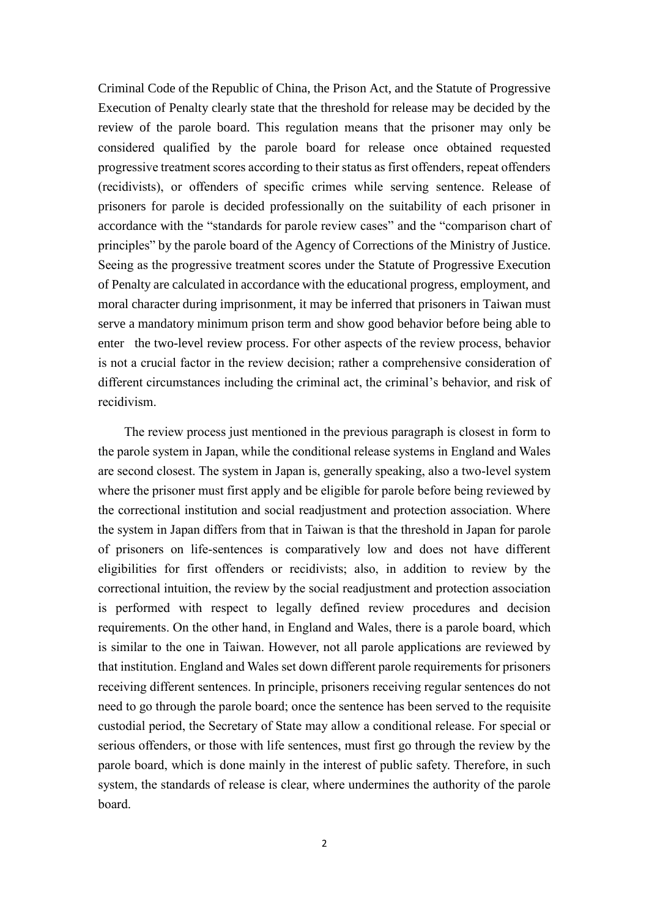Criminal Code of the Republic of China, the Prison Act, and the Statute of Progressive Execution of Penalty clearly state that the threshold for release may be decided by the review of the parole board. This regulation means that the prisoner may only be considered qualified by the parole board for release once obtained requested progressive treatment scores according to their status as first offenders, repeat offenders (recidivists), or offenders of specific crimes while serving sentence. Release of prisoners for parole is decided professionally on the suitability of each prisoner in accordance with the "standards for parole review cases" and the "comparison chart of principles" by the parole board of the Agency of Corrections of the Ministry of Justice. Seeing as the progressive treatment scores under the Statute of Progressive Execution of Penalty are calculated in accordance with the educational progress, employment, and moral character during imprisonment, it may be inferred that prisoners in Taiwan must serve a mandatory minimum prison term and show good behavior before being able to enter the two-level review process. For other aspects of the review process, behavior is not a crucial factor in the review decision; rather a comprehensive consideration of different circumstances including the criminal act, the criminal's behavior, and risk of recidivism.

The review process just mentioned in the previous paragraph is closest in form to the parole system in Japan, while the conditional release systems in England and Wales are second closest. The system in Japan is, generally speaking, also a two-level system where the prisoner must first apply and be eligible for parole before being reviewed by the correctional institution and social readjustment and protection association. Where the system in Japan differs from that in Taiwan is that the threshold in Japan for parole of prisoners on life-sentences is comparatively low and does not have different eligibilities for first offenders or recidivists; also, in addition to review by the correctional intuition, the review by the social readjustment and protection association is performed with respect to legally defined review procedures and decision requirements. On the other hand, in England and Wales, there is a parole board, which is similar to the one in Taiwan. However, not all parole applications are reviewed by that institution. England and Wales set down different parole requirements for prisoners receiving different sentences. In principle, prisoners receiving regular sentences do not need to go through the parole board; once the sentence has been served to the requisite custodial period, the Secretary of State may allow a conditional release. For special or serious offenders, or those with life sentences, must first go through the review by the parole board, which is done mainly in the interest of public safety. Therefore, in such system, the standards of release is clear, where undermines the authority of the parole board.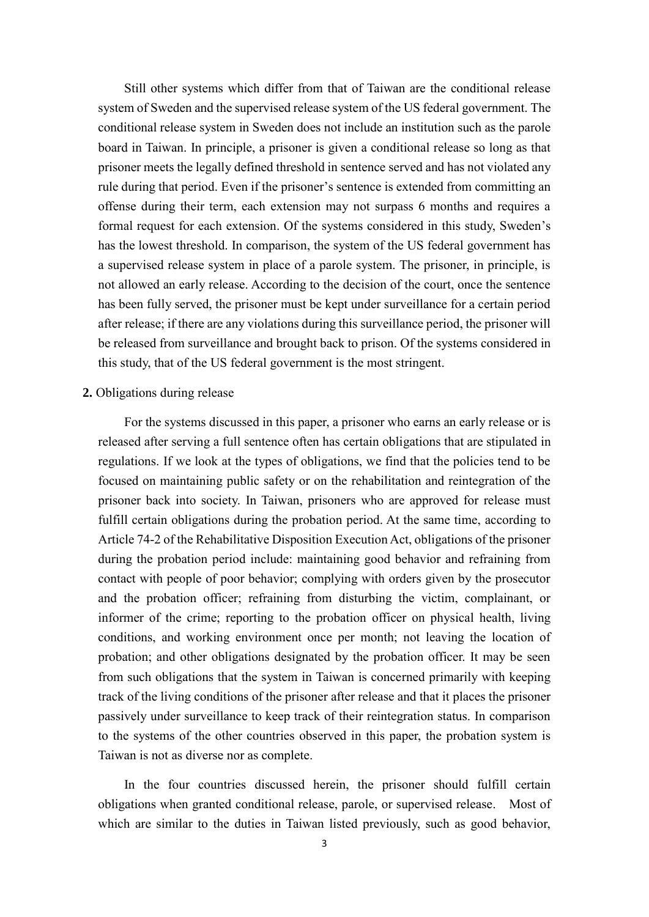Still other systems which differ from that of Taiwan are the conditional release system of Sweden and the supervised release system of the US federal government. The conditional release system in Sweden does not include an institution such as the parole board in Taiwan. In principle, a prisoner is given a conditional release so long as that prisoner meets the legally defined threshold in sentence served and has not violated any rule during that period. Even if the prisoner's sentence is extended from committing an offense during their term, each extension may not surpass 6 months and requires a formal request for each extension. Of the systems considered in this study, Sweden's has the lowest threshold. In comparison, the system of the US federal government has a supervised release system in place of a parole system. The prisoner, in principle, is not allowed an early release. According to the decision of the court, once the sentence has been fully served, the prisoner must be kept under surveillance for a certain period after release; if there are any violations during this surveillance period, the prisoner will be released from surveillance and brought back to prison. Of the systems considered in this study, that of the US federal government is the most stringent.

### <span id="page-4-0"></span>**2.** Obligations during release

For the systems discussed in this paper, a prisoner who earns an early release or is released after serving a full sentence often has certain obligations that are stipulated in regulations. If we look at the types of obligations, we find that the policies tend to be focused on maintaining public safety or on the rehabilitation and reintegration of the prisoner back into society. In Taiwan, prisoners who are approved for release must fulfill certain obligations during the probation period. At the same time, according to Article 74-2 of the Rehabilitative Disposition Execution Act, obligations of the prisoner during the probation period include: maintaining good behavior and refraining from contact with people of poor behavior; complying with orders given by the prosecutor and the probation officer; refraining from disturbing the victim, complainant, or informer of the crime; reporting to the probation officer on physical health, living conditions, and working environment once per month; not leaving the location of probation; and other obligations designated by the probation officer. It may be seen from such obligations that the system in Taiwan is concerned primarily with keeping track of the living conditions of the prisoner after release and that it places the prisoner passively under surveillance to keep track of their reintegration status. In comparison to the systems of the other countries observed in this paper, the probation system is Taiwan is not as diverse nor as complete.

In the four countries discussed herein, the prisoner should fulfill certain obligations when granted conditional release, parole, or supervised release. Most of which are similar to the duties in Taiwan listed previously, such as good behavior,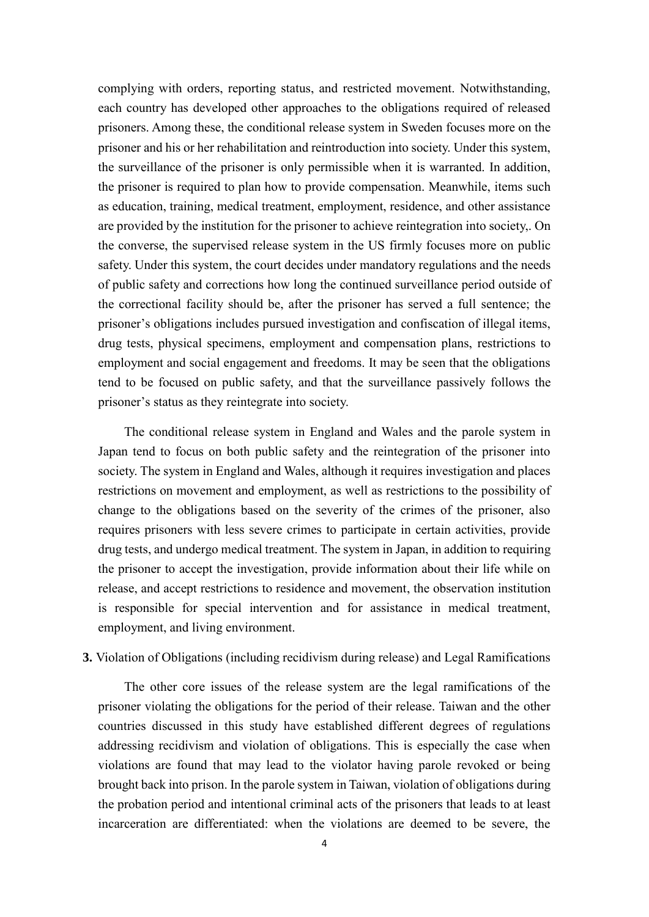complying with orders, reporting status, and restricted movement. Notwithstanding, each country has developed other approaches to the obligations required of released prisoners. Among these, the conditional release system in Sweden focuses more on the prisoner and his or her rehabilitation and reintroduction into society. Under this system, the surveillance of the prisoner is only permissible when it is warranted. In addition, the prisoner is required to plan how to provide compensation. Meanwhile, items such as education, training, medical treatment, employment, residence, and other assistance are provided by the institution for the prisoner to achieve reintegration into society,. On the converse, the supervised release system in the US firmly focuses more on public safety. Under this system, the court decides under mandatory regulations and the needs of public safety and corrections how long the continued surveillance period outside of the correctional facility should be, after the prisoner has served a full sentence; the prisoner's obligations includes pursued investigation and confiscation of illegal items, drug tests, physical specimens, employment and compensation plans, restrictions to employment and social engagement and freedoms. It may be seen that the obligations tend to be focused on public safety, and that the surveillance passively follows the prisoner's status as they reintegrate into society.

The conditional release system in England and Wales and the parole system in Japan tend to focus on both public safety and the reintegration of the prisoner into society. The system in England and Wales, although it requires investigation and places restrictions on movement and employment, as well as restrictions to the possibility of change to the obligations based on the severity of the crimes of the prisoner, also requires prisoners with less severe crimes to participate in certain activities, provide drug tests, and undergo medical treatment. The system in Japan, in addition to requiring the prisoner to accept the investigation, provide information about their life while on release, and accept restrictions to residence and movement, the observation institution is responsible for special intervention and for assistance in medical treatment, employment, and living environment.

## <span id="page-5-0"></span>**3.** Violation of Obligations (including recidivism during release) and Legal Ramifications

The other core issues of the release system are the legal ramifications of the prisoner violating the obligations for the period of their release. Taiwan and the other countries discussed in this study have established different degrees of regulations addressing recidivism and violation of obligations. This is especially the case when violations are found that may lead to the violator having parole revoked or being brought back into prison. In the parole system in Taiwan, violation of obligations during the probation period and intentional criminal acts of the prisoners that leads to at least incarceration are differentiated: when the violations are deemed to be severe, the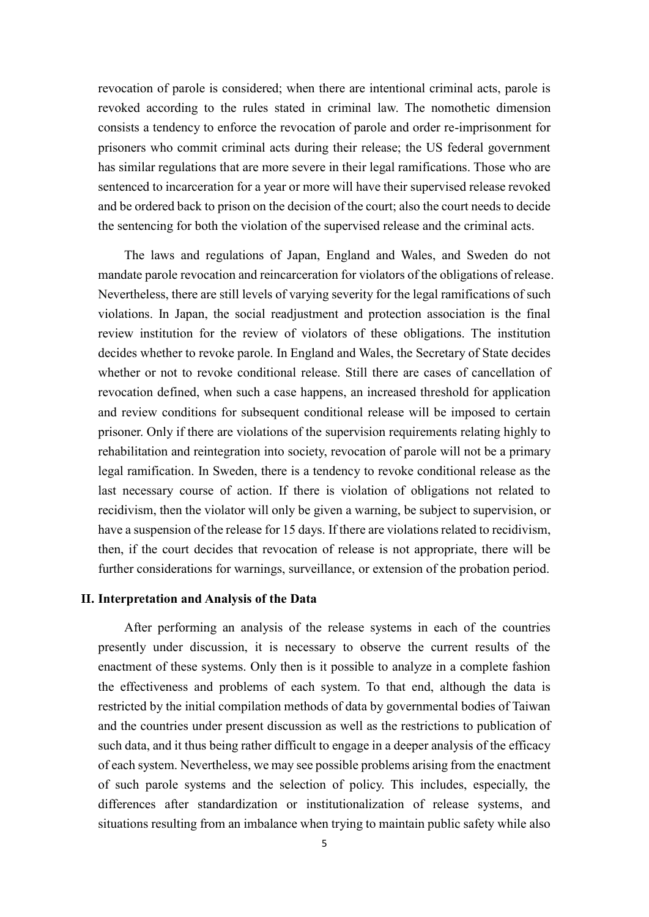revocation of parole is considered; when there are intentional criminal acts, parole is revoked according to the rules stated in criminal law. The nomothetic dimension consists a tendency to enforce the revocation of parole and order re-imprisonment for prisoners who commit criminal acts during their release; the US federal government has similar regulations that are more severe in their legal ramifications. Those who are sentenced to incarceration for a year or more will have their supervised release revoked and be ordered back to prison on the decision of the court; also the court needs to decide the sentencing for both the violation of the supervised release and the criminal acts.

The laws and regulations of Japan, England and Wales, and Sweden do not mandate parole revocation and reincarceration for violators of the obligations of release. Nevertheless, there are still levels of varying severity for the legal ramifications of such violations. In Japan, the social readjustment and protection association is the final review institution for the review of violators of these obligations. The institution decides whether to revoke parole. In England and Wales, the Secretary of State decides whether or not to revoke conditional release. Still there are cases of cancellation of revocation defined, when such a case happens, an increased threshold for application and review conditions for subsequent conditional release will be imposed to certain prisoner. Only if there are violations of the supervision requirements relating highly to rehabilitation and reintegration into society, revocation of parole will not be a primary legal ramification. In Sweden, there is a tendency to revoke conditional release as the last necessary course of action. If there is violation of obligations not related to recidivism, then the violator will only be given a warning, be subject to supervision, or have a suspension of the release for 15 days. If there are violations related to recidivism, then, if the court decides that revocation of release is not appropriate, there will be further considerations for warnings, surveillance, or extension of the probation period.

#### <span id="page-6-0"></span>**II. Interpretation and Analysis of the Data**

After performing an analysis of the release systems in each of the countries presently under discussion, it is necessary to observe the current results of the enactment of these systems. Only then is it possible to analyze in a complete fashion the effectiveness and problems of each system. To that end, although the data is restricted by the initial compilation methods of data by governmental bodies of Taiwan and the countries under present discussion as well as the restrictions to publication of such data, and it thus being rather difficult to engage in a deeper analysis of the efficacy of each system. Nevertheless, we may see possible problems arising from the enactment of such parole systems and the selection of policy. This includes, especially, the differences after standardization or institutionalization of release systems, and situations resulting from an imbalance when trying to maintain public safety while also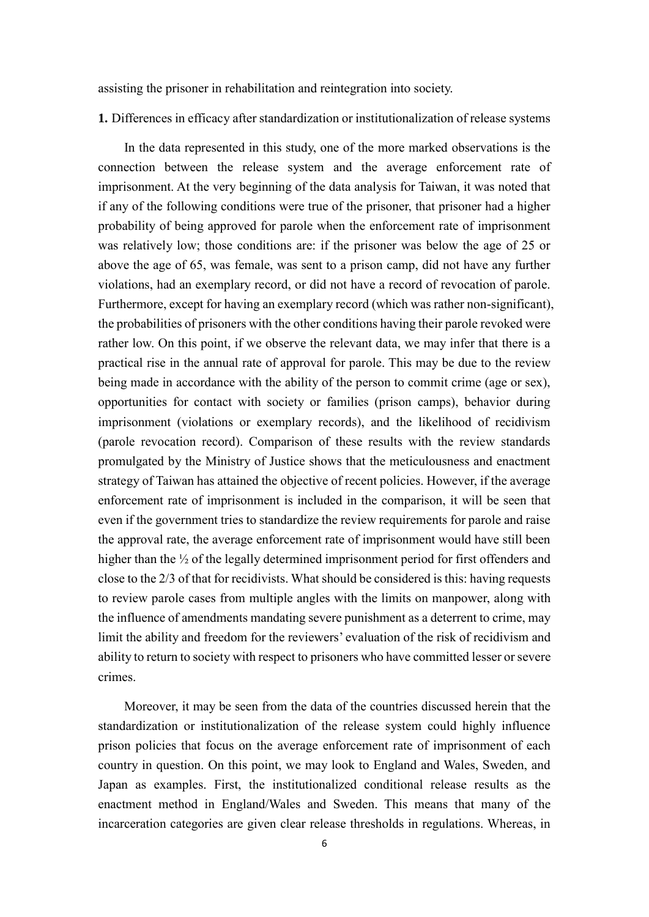assisting the prisoner in rehabilitation and reintegration into society.

<span id="page-7-0"></span>**1.** Differences in efficacy after standardization or institutionalization of release systems

In the data represented in this study, one of the more marked observations is the connection between the release system and the average enforcement rate of imprisonment. At the very beginning of the data analysis for Taiwan, it was noted that if any of the following conditions were true of the prisoner, that prisoner had a higher probability of being approved for parole when the enforcement rate of imprisonment was relatively low; those conditions are: if the prisoner was below the age of 25 or above the age of 65, was female, was sent to a prison camp, did not have any further violations, had an exemplary record, or did not have a record of revocation of parole. Furthermore, except for having an exemplary record (which was rather non-significant), the probabilities of prisoners with the other conditions having their parole revoked were rather low. On this point, if we observe the relevant data, we may infer that there is a practical rise in the annual rate of approval for parole. This may be due to the review being made in accordance with the ability of the person to commit crime (age or sex), opportunities for contact with society or families (prison camps), behavior during imprisonment (violations or exemplary records), and the likelihood of recidivism (parole revocation record). Comparison of these results with the review standards promulgated by the Ministry of Justice shows that the meticulousness and enactment strategy of Taiwan has attained the objective of recent policies. However, if the average enforcement rate of imprisonment is included in the comparison, it will be seen that even if the government tries to standardize the review requirements for parole and raise the approval rate, the average enforcement rate of imprisonment would have still been higher than the <sup>1/2</sup> of the legally determined imprisonment period for first offenders and close to the 2/3 of that for recidivists. What should be considered is this: having requests to review parole cases from multiple angles with the limits on manpower, along with the influence of amendments mandating severe punishment as a deterrent to crime, may limit the ability and freedom for the reviewers' evaluation of the risk of recidivism and ability to return to society with respect to prisoners who have committed lesser or severe crimes.

Moreover, it may be seen from the data of the countries discussed herein that the standardization or institutionalization of the release system could highly influence prison policies that focus on the average enforcement rate of imprisonment of each country in question. On this point, we may look to England and Wales, Sweden, and Japan as examples. First, the institutionalized conditional release results as the enactment method in England/Wales and Sweden. This means that many of the incarceration categories are given clear release thresholds in regulations. Whereas, in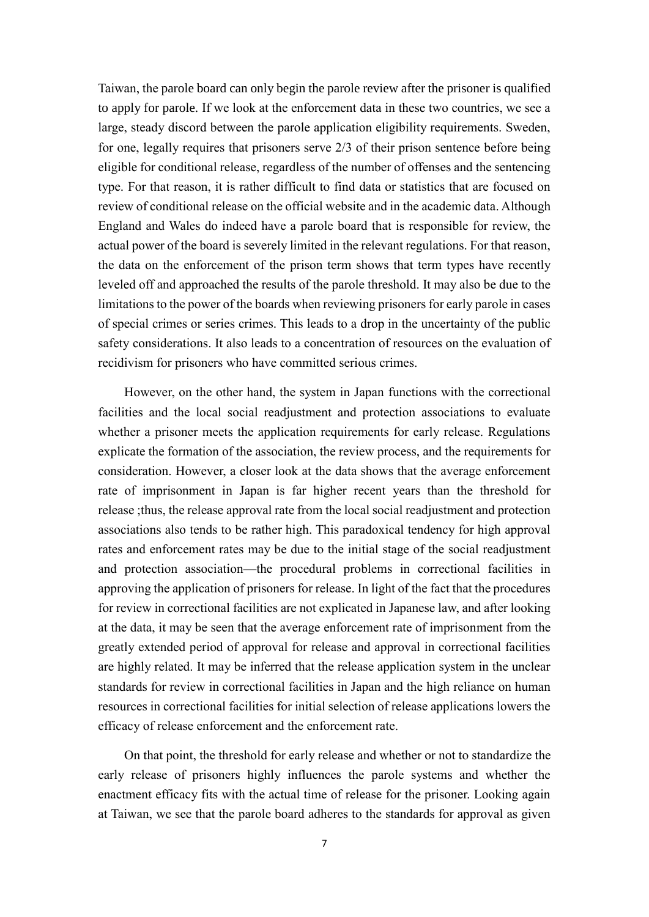Taiwan, the parole board can only begin the parole review after the prisoner is qualified to apply for parole. If we look at the enforcement data in these two countries, we see a large, steady discord between the parole application eligibility requirements. Sweden, for one, legally requires that prisoners serve 2/3 of their prison sentence before being eligible for conditional release, regardless of the number of offenses and the sentencing type. For that reason, it is rather difficult to find data or statistics that are focused on review of conditional release on the official website and in the academic data. Although England and Wales do indeed have a parole board that is responsible for review, the actual power of the board is severely limited in the relevant regulations. For that reason, the data on the enforcement of the prison term shows that term types have recently leveled off and approached the results of the parole threshold. It may also be due to the limitations to the power of the boards when reviewing prisoners for early parole in cases of special crimes or series crimes. This leads to a drop in the uncertainty of the public safety considerations. It also leads to a concentration of resources on the evaluation of recidivism for prisoners who have committed serious crimes.

However, on the other hand, the system in Japan functions with the correctional facilities and the local social readjustment and protection associations to evaluate whether a prisoner meets the application requirements for early release. Regulations explicate the formation of the association, the review process, and the requirements for consideration. However, a closer look at the data shows that the average enforcement rate of imprisonment in Japan is far higher recent years than the threshold for release ;thus, the release approval rate from the local social readjustment and protection associations also tends to be rather high. This paradoxical tendency for high approval rates and enforcement rates may be due to the initial stage of the social readjustment and protection association—the procedural problems in correctional facilities in approving the application of prisoners for release. In light of the fact that the procedures for review in correctional facilities are not explicated in Japanese law, and after looking at the data, it may be seen that the average enforcement rate of imprisonment from the greatly extended period of approval for release and approval in correctional facilities are highly related. It may be inferred that the release application system in the unclear standards for review in correctional facilities in Japan and the high reliance on human resources in correctional facilities for initial selection of release applications lowers the efficacy of release enforcement and the enforcement rate.

On that point, the threshold for early release and whether or not to standardize the early release of prisoners highly influences the parole systems and whether the enactment efficacy fits with the actual time of release for the prisoner. Looking again at Taiwan, we see that the parole board adheres to the standards for approval as given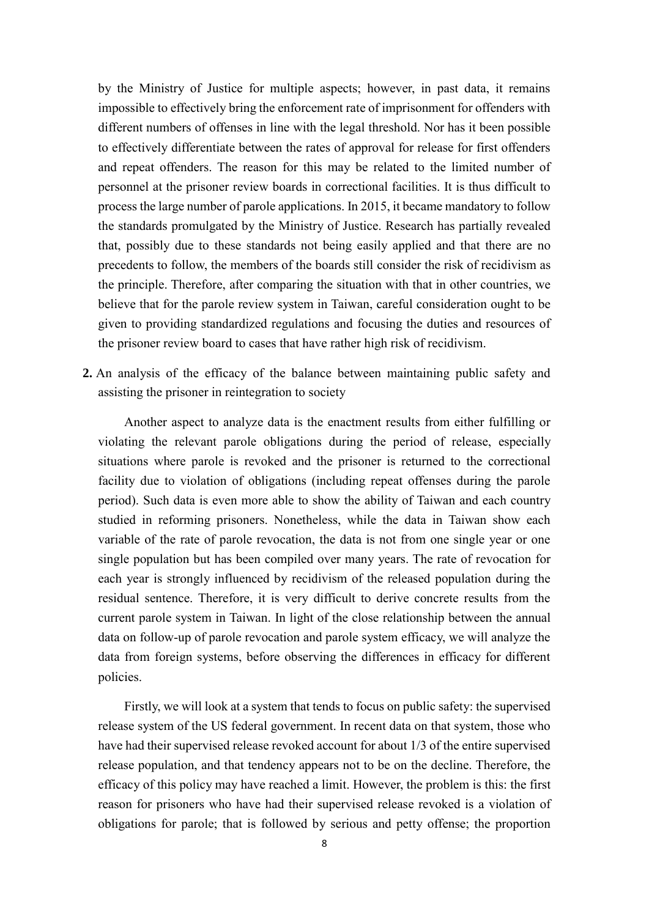by the Ministry of Justice for multiple aspects; however, in past data, it remains impossible to effectively bring the enforcement rate of imprisonment for offenders with different numbers of offenses in line with the legal threshold. Nor has it been possible to effectively differentiate between the rates of approval for release for first offenders and repeat offenders. The reason for this may be related to the limited number of personnel at the prisoner review boards in correctional facilities. It is thus difficult to process the large number of parole applications. In 2015, it became mandatory to follow the standards promulgated by the Ministry of Justice. Research has partially revealed that, possibly due to these standards not being easily applied and that there are no precedents to follow, the members of the boards still consider the risk of recidivism as the principle. Therefore, after comparing the situation with that in other countries, we believe that for the parole review system in Taiwan, careful consideration ought to be given to providing standardized regulations and focusing the duties and resources of the prisoner review board to cases that have rather high risk of recidivism.

<span id="page-9-0"></span>**2.** An analysis of the efficacy of the balance between maintaining public safety and assisting the prisoner in reintegration to society

Another aspect to analyze data is the enactment results from either fulfilling or violating the relevant parole obligations during the period of release, especially situations where parole is revoked and the prisoner is returned to the correctional facility due to violation of obligations (including repeat offenses during the parole period). Such data is even more able to show the ability of Taiwan and each country studied in reforming prisoners. Nonetheless, while the data in Taiwan show each variable of the rate of parole revocation, the data is not from one single year or one single population but has been compiled over many years. The rate of revocation for each year is strongly influenced by recidivism of the released population during the residual sentence. Therefore, it is very difficult to derive concrete results from the current parole system in Taiwan. In light of the close relationship between the annual data on follow-up of parole revocation and parole system efficacy, we will analyze the data from foreign systems, before observing the differences in efficacy for different policies.

Firstly, we will look at a system that tends to focus on public safety: the supervised release system of the US federal government. In recent data on that system, those who have had their supervised release revoked account for about 1/3 of the entire supervised release population, and that tendency appears not to be on the decline. Therefore, the efficacy of this policy may have reached a limit. However, the problem is this: the first reason for prisoners who have had their supervised release revoked is a violation of obligations for parole; that is followed by serious and petty offense; the proportion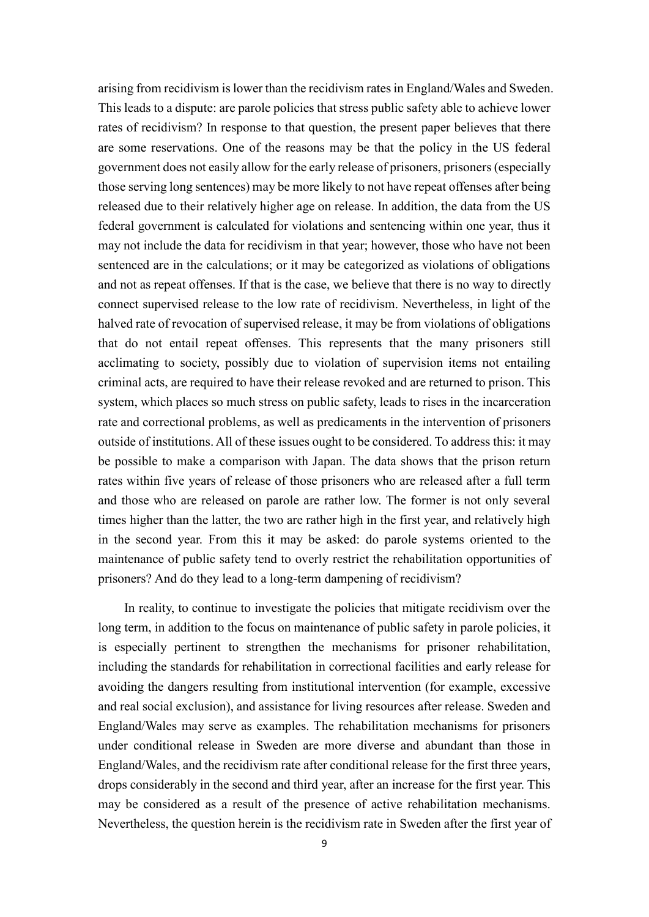arising from recidivism is lower than the recidivism rates in England/Wales and Sweden. This leads to a dispute: are parole policies that stress public safety able to achieve lower rates of recidivism? In response to that question, the present paper believes that there are some reservations. One of the reasons may be that the policy in the US federal government does not easily allow for the early release of prisoners, prisoners (especially those serving long sentences) may be more likely to not have repeat offenses after being released due to their relatively higher age on release. In addition, the data from the US federal government is calculated for violations and sentencing within one year, thus it may not include the data for recidivism in that year; however, those who have not been sentenced are in the calculations; or it may be categorized as violations of obligations and not as repeat offenses. If that is the case, we believe that there is no way to directly connect supervised release to the low rate of recidivism. Nevertheless, in light of the halved rate of revocation of supervised release, it may be from violations of obligations that do not entail repeat offenses. This represents that the many prisoners still acclimating to society, possibly due to violation of supervision items not entailing criminal acts, are required to have their release revoked and are returned to prison. This system, which places so much stress on public safety, leads to rises in the incarceration rate and correctional problems, as well as predicaments in the intervention of prisoners outside of institutions. All of these issues ought to be considered. To address this: it may be possible to make a comparison with Japan. The data shows that the prison return rates within five years of release of those prisoners who are released after a full term and those who are released on parole are rather low. The former is not only several times higher than the latter, the two are rather high in the first year, and relatively high in the second year. From this it may be asked: do parole systems oriented to the maintenance of public safety tend to overly restrict the rehabilitation opportunities of prisoners? And do they lead to a long-term dampening of recidivism?

In reality, to continue to investigate the policies that mitigate recidivism over the long term, in addition to the focus on maintenance of public safety in parole policies, it is especially pertinent to strengthen the mechanisms for prisoner rehabilitation, including the standards for rehabilitation in correctional facilities and early release for avoiding the dangers resulting from institutional intervention (for example, excessive and real social exclusion), and assistance for living resources after release. Sweden and England/Wales may serve as examples. The rehabilitation mechanisms for prisoners under conditional release in Sweden are more diverse and abundant than those in England/Wales, and the recidivism rate after conditional release for the first three years, drops considerably in the second and third year, after an increase for the first year. This may be considered as a result of the presence of active rehabilitation mechanisms. Nevertheless, the question herein is the recidivism rate in Sweden after the first year of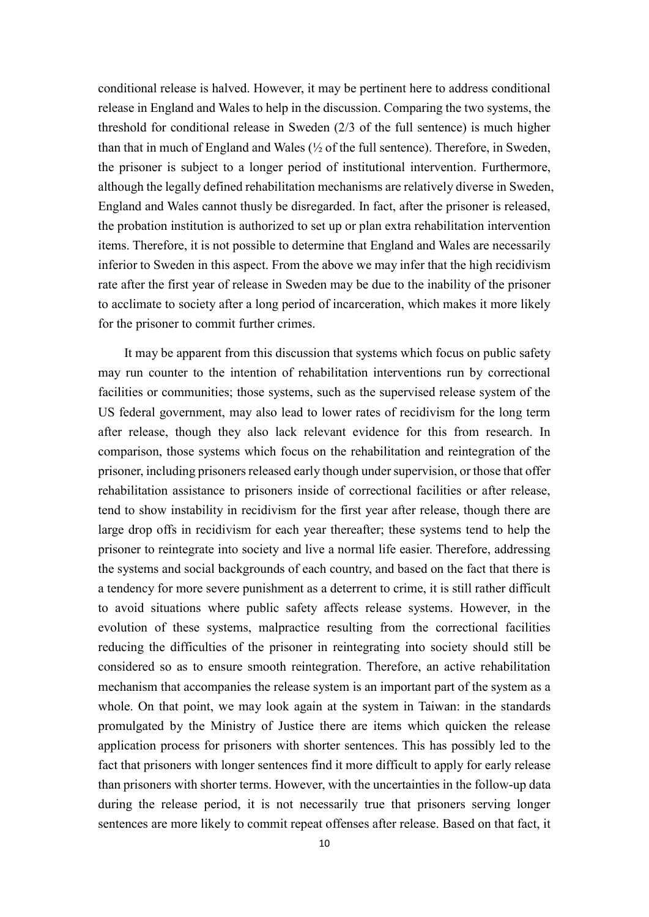conditional release is halved. However, it may be pertinent here to address conditional release in England and Wales to help in the discussion. Comparing the two systems, the threshold for conditional release in Sweden (2/3 of the full sentence) is much higher than that in much of England and Wales (½ of the full sentence). Therefore, in Sweden, the prisoner is subject to a longer period of institutional intervention. Furthermore, although the legally defined rehabilitation mechanisms are relatively diverse in Sweden, England and Wales cannot thusly be disregarded. In fact, after the prisoner is released, the probation institution is authorized to set up or plan extra rehabilitation intervention items. Therefore, it is not possible to determine that England and Wales are necessarily inferior to Sweden in this aspect. From the above we may infer that the high recidivism rate after the first year of release in Sweden may be due to the inability of the prisoner to acclimate to society after a long period of incarceration, which makes it more likely for the prisoner to commit further crimes.

It may be apparent from this discussion that systems which focus on public safety may run counter to the intention of rehabilitation interventions run by correctional facilities or communities; those systems, such as the supervised release system of the US federal government, may also lead to lower rates of recidivism for the long term after release, though they also lack relevant evidence for this from research. In comparison, those systems which focus on the rehabilitation and reintegration of the prisoner, including prisoners released early though under supervision, or those that offer rehabilitation assistance to prisoners inside of correctional facilities or after release, tend to show instability in recidivism for the first year after release, though there are large drop offs in recidivism for each year thereafter; these systems tend to help the prisoner to reintegrate into society and live a normal life easier. Therefore, addressing the systems and social backgrounds of each country, and based on the fact that there is a tendency for more severe punishment as a deterrent to crime, it is still rather difficult to avoid situations where public safety affects release systems. However, in the evolution of these systems, malpractice resulting from the correctional facilities reducing the difficulties of the prisoner in reintegrating into society should still be considered so as to ensure smooth reintegration. Therefore, an active rehabilitation mechanism that accompanies the release system is an important part of the system as a whole. On that point, we may look again at the system in Taiwan: in the standards promulgated by the Ministry of Justice there are items which quicken the release application process for prisoners with shorter sentences. This has possibly led to the fact that prisoners with longer sentences find it more difficult to apply for early release than prisoners with shorter terms. However, with the uncertainties in the follow-up data during the release period, it is not necessarily true that prisoners serving longer sentences are more likely to commit repeat offenses after release. Based on that fact, it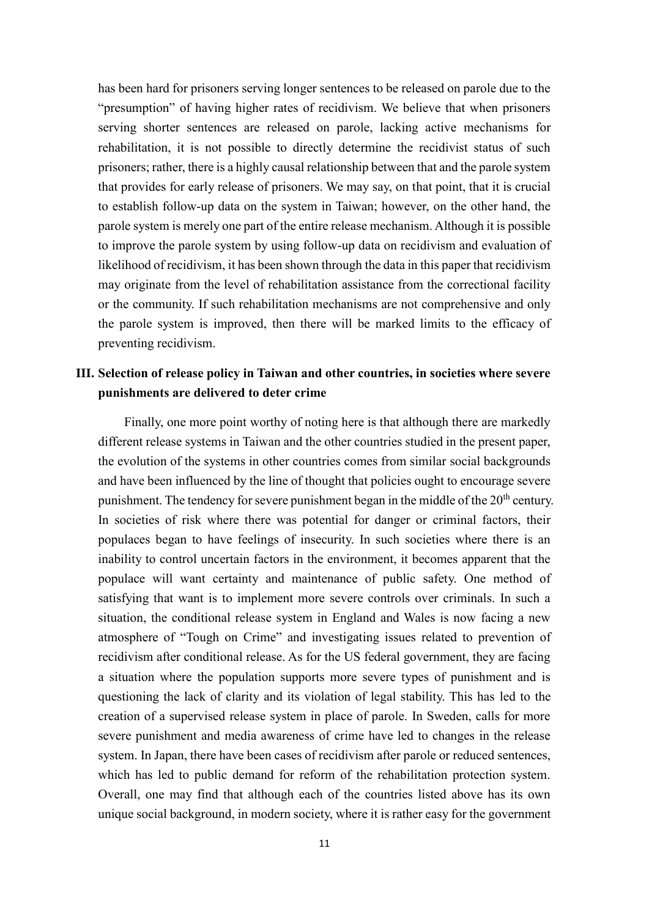has been hard for prisoners serving longer sentences to be released on parole due to the "presumption" of having higher rates of recidivism. We believe that when prisoners serving shorter sentences are released on parole, lacking active mechanisms for rehabilitation, it is not possible to directly determine the recidivist status of such prisoners; rather, there is a highly causal relationship between that and the parole system that provides for early release of prisoners. We may say, on that point, that it is crucial to establish follow-up data on the system in Taiwan; however, on the other hand, the parole system is merely one part of the entire release mechanism. Although it is possible to improve the parole system by using follow-up data on recidivism and evaluation of likelihood of recidivism, it has been shown through the data in this paper that recidivism may originate from the level of rehabilitation assistance from the correctional facility or the community. If such rehabilitation mechanisms are not comprehensive and only the parole system is improved, then there will be marked limits to the efficacy of preventing recidivism.

## <span id="page-12-0"></span>**III. Selection of release policy in Taiwan and other countries, in societies where severe punishments are delivered to deter crime**

Finally, one more point worthy of noting here is that although there are markedly different release systems in Taiwan and the other countries studied in the present paper, the evolution of the systems in other countries comes from similar social backgrounds and have been influenced by the line of thought that policies ought to encourage severe punishment. The tendency for severe punishment began in the middle of the  $20<sup>th</sup>$  century. In societies of risk where there was potential for danger or criminal factors, their populaces began to have feelings of insecurity. In such societies where there is an inability to control uncertain factors in the environment, it becomes apparent that the populace will want certainty and maintenance of public safety. One method of satisfying that want is to implement more severe controls over criminals. In such a situation, the conditional release system in England and Wales is now facing a new atmosphere of "Tough on Crime" and investigating issues related to prevention of recidivism after conditional release. As for the US federal government, they are facing a situation where the population supports more severe types of punishment and is questioning the lack of clarity and its violation of legal stability. This has led to the creation of a supervised release system in place of parole. In Sweden, calls for more severe punishment and media awareness of crime have led to changes in the release system. In Japan, there have been cases of recidivism after parole or reduced sentences, which has led to public demand for reform of the rehabilitation protection system. Overall, one may find that although each of the countries listed above has its own unique social background, in modern society, where it is rather easy for the government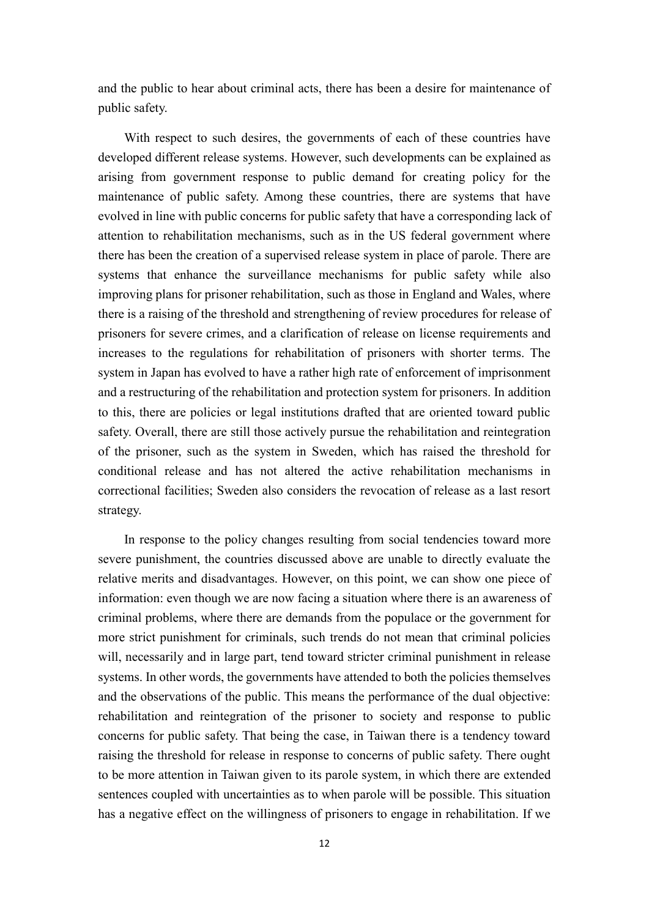and the public to hear about criminal acts, there has been a desire for maintenance of public safety.

With respect to such desires, the governments of each of these countries have developed different release systems. However, such developments can be explained as arising from government response to public demand for creating policy for the maintenance of public safety. Among these countries, there are systems that have evolved in line with public concerns for public safety that have a corresponding lack of attention to rehabilitation mechanisms, such as in the US federal government where there has been the creation of a supervised release system in place of parole. There are systems that enhance the surveillance mechanisms for public safety while also improving plans for prisoner rehabilitation, such as those in England and Wales, where there is a raising of the threshold and strengthening of review procedures for release of prisoners for severe crimes, and a clarification of release on license requirements and increases to the regulations for rehabilitation of prisoners with shorter terms. The system in Japan has evolved to have a rather high rate of enforcement of imprisonment and a restructuring of the rehabilitation and protection system for prisoners. In addition to this, there are policies or legal institutions drafted that are oriented toward public safety. Overall, there are still those actively pursue the rehabilitation and reintegration of the prisoner, such as the system in Sweden, which has raised the threshold for conditional release and has not altered the active rehabilitation mechanisms in correctional facilities; Sweden also considers the revocation of release as a last resort strategy.

In response to the policy changes resulting from social tendencies toward more severe punishment, the countries discussed above are unable to directly evaluate the relative merits and disadvantages. However, on this point, we can show one piece of information: even though we are now facing a situation where there is an awareness of criminal problems, where there are demands from the populace or the government for more strict punishment for criminals, such trends do not mean that criminal policies will, necessarily and in large part, tend toward stricter criminal punishment in release systems. In other words, the governments have attended to both the policies themselves and the observations of the public. This means the performance of the dual objective: rehabilitation and reintegration of the prisoner to society and response to public concerns for public safety. That being the case, in Taiwan there is a tendency toward raising the threshold for release in response to concerns of public safety. There ought to be more attention in Taiwan given to its parole system, in which there are extended sentences coupled with uncertainties as to when parole will be possible. This situation has a negative effect on the willingness of prisoners to engage in rehabilitation. If we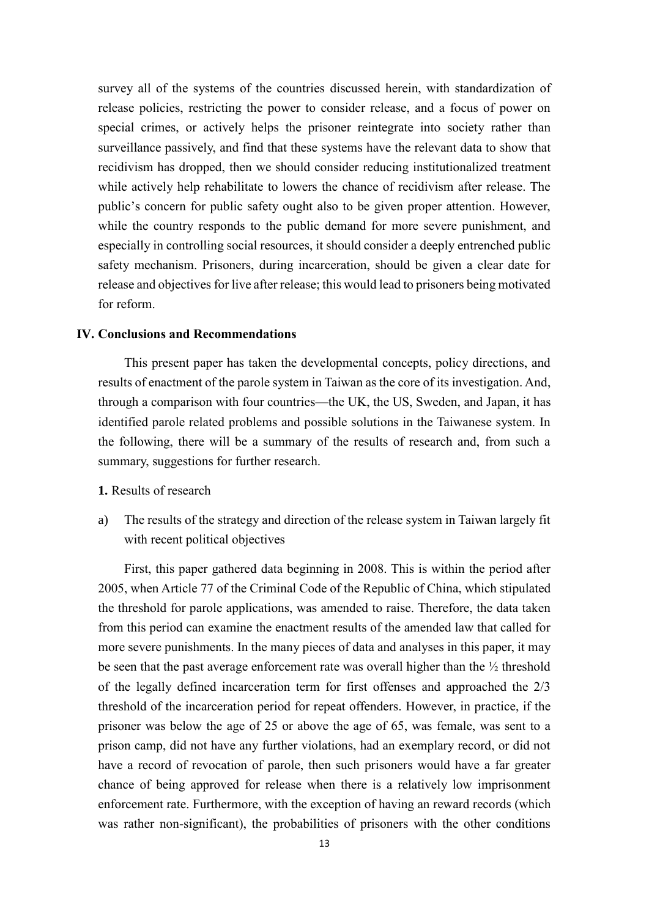survey all of the systems of the countries discussed herein, with standardization of release policies, restricting the power to consider release, and a focus of power on special crimes, or actively helps the prisoner reintegrate into society rather than surveillance passively, and find that these systems have the relevant data to show that recidivism has dropped, then we should consider reducing institutionalized treatment while actively help rehabilitate to lowers the chance of recidivism after release. The public's concern for public safety ought also to be given proper attention. However, while the country responds to the public demand for more severe punishment, and especially in controlling social resources, it should consider a deeply entrenched public safety mechanism. Prisoners, during incarceration, should be given a clear date for release and objectives for live after release; this would lead to prisoners being motivated for reform.

### <span id="page-14-0"></span>**IV. Conclusions and Recommendations**

This present paper has taken the developmental concepts, policy directions, and results of enactment of the parole system in Taiwan as the core of its investigation. And, through a comparison with four countries—the UK, the US, Sweden, and Japan, it has identified parole related problems and possible solutions in the Taiwanese system. In the following, there will be a summary of the results of research and, from such a summary, suggestions for further research.

### <span id="page-14-1"></span>**1.** Results of research

a) The results of the strategy and direction of the release system in Taiwan largely fit with recent political objectives

First, this paper gathered data beginning in 2008. This is within the period after 2005, when Article 77 of the Criminal Code of the Republic of China, which stipulated the threshold for parole applications, was amended to raise. Therefore, the data taken from this period can examine the enactment results of the amended law that called for more severe punishments. In the many pieces of data and analyses in this paper, it may be seen that the past average enforcement rate was overall higher than the  $\frac{1}{2}$  threshold of the legally defined incarceration term for first offenses and approached the 2/3 threshold of the incarceration period for repeat offenders. However, in practice, if the prisoner was below the age of 25 or above the age of 65, was female, was sent to a prison camp, did not have any further violations, had an exemplary record, or did not have a record of revocation of parole, then such prisoners would have a far greater chance of being approved for release when there is a relatively low imprisonment enforcement rate. Furthermore, with the exception of having an reward records (which was rather non-significant), the probabilities of prisoners with the other conditions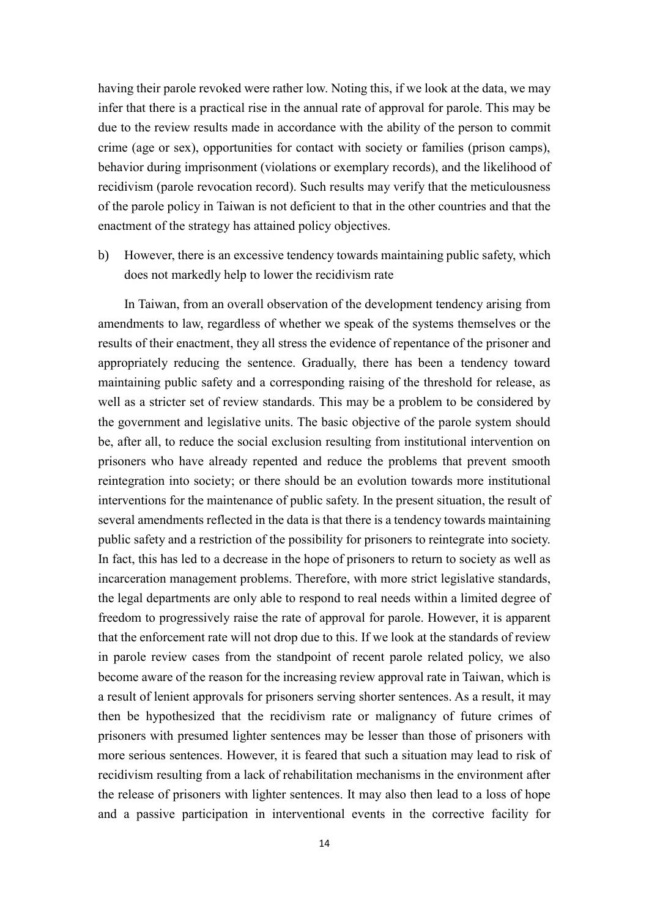having their parole revoked were rather low. Noting this, if we look at the data, we may infer that there is a practical rise in the annual rate of approval for parole. This may be due to the review results made in accordance with the ability of the person to commit crime (age or sex), opportunities for contact with society or families (prison camps), behavior during imprisonment (violations or exemplary records), and the likelihood of recidivism (parole revocation record). Such results may verify that the meticulousness of the parole policy in Taiwan is not deficient to that in the other countries and that the enactment of the strategy has attained policy objectives.

b) However, there is an excessive tendency towards maintaining public safety, which does not markedly help to lower the recidivism rate

In Taiwan, from an overall observation of the development tendency arising from amendments to law, regardless of whether we speak of the systems themselves or the results of their enactment, they all stress the evidence of repentance of the prisoner and appropriately reducing the sentence. Gradually, there has been a tendency toward maintaining public safety and a corresponding raising of the threshold for release, as well as a stricter set of review standards. This may be a problem to be considered by the government and legislative units. The basic objective of the parole system should be, after all, to reduce the social exclusion resulting from institutional intervention on prisoners who have already repented and reduce the problems that prevent smooth reintegration into society; or there should be an evolution towards more institutional interventions for the maintenance of public safety. In the present situation, the result of several amendments reflected in the data is that there is a tendency towards maintaining public safety and a restriction of the possibility for prisoners to reintegrate into society. In fact, this has led to a decrease in the hope of prisoners to return to society as well as incarceration management problems. Therefore, with more strict legislative standards, the legal departments are only able to respond to real needs within a limited degree of freedom to progressively raise the rate of approval for parole. However, it is apparent that the enforcement rate will not drop due to this. If we look at the standards of review in parole review cases from the standpoint of recent parole related policy, we also become aware of the reason for the increasing review approval rate in Taiwan, which is a result of lenient approvals for prisoners serving shorter sentences. As a result, it may then be hypothesized that the recidivism rate or malignancy of future crimes of prisoners with presumed lighter sentences may be lesser than those of prisoners with more serious sentences. However, it is feared that such a situation may lead to risk of recidivism resulting from a lack of rehabilitation mechanisms in the environment after the release of prisoners with lighter sentences. It may also then lead to a loss of hope and a passive participation in interventional events in the corrective facility for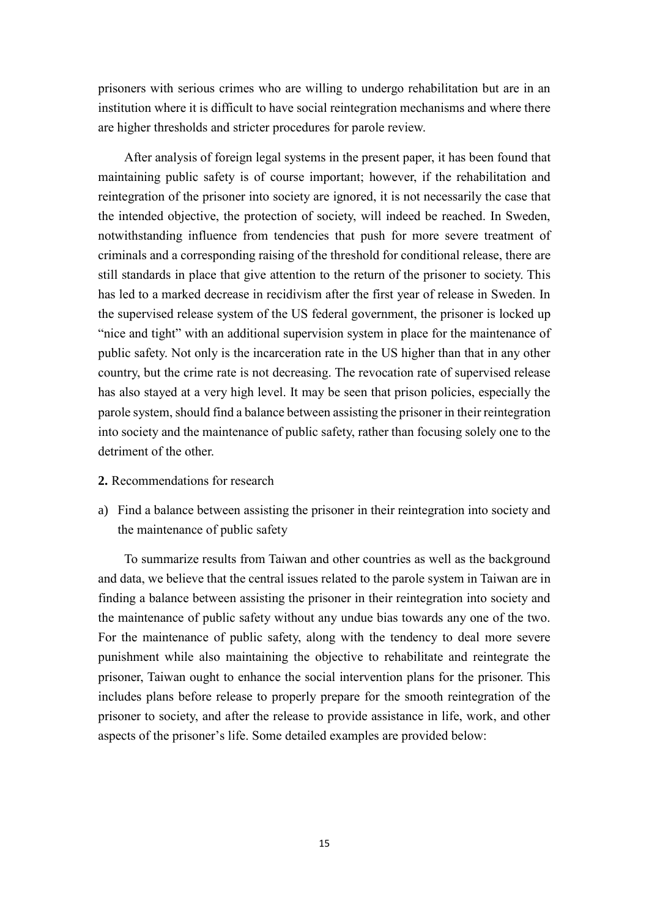prisoners with serious crimes who are willing to undergo rehabilitation but are in an institution where it is difficult to have social reintegration mechanisms and where there are higher thresholds and stricter procedures for parole review.

After analysis of foreign legal systems in the present paper, it has been found that maintaining public safety is of course important; however, if the rehabilitation and reintegration of the prisoner into society are ignored, it is not necessarily the case that the intended objective, the protection of society, will indeed be reached. In Sweden, notwithstanding influence from tendencies that push for more severe treatment of criminals and a corresponding raising of the threshold for conditional release, there are still standards in place that give attention to the return of the prisoner to society. This has led to a marked decrease in recidivism after the first year of release in Sweden. In the supervised release system of the US federal government, the prisoner is locked up "nice and tight" with an additional supervision system in place for the maintenance of public safety. Not only is the incarceration rate in the US higher than that in any other country, but the crime rate is not decreasing. The revocation rate of supervised release has also stayed at a very high level. It may be seen that prison policies, especially the parole system, should find a balance between assisting the prisoner in their reintegration into society and the maintenance of public safety, rather than focusing solely one to the detriment of the other.

- <span id="page-16-0"></span>**2.** Recommendations for research
- a) Find a balance between assisting the prisoner in their reintegration into society and the maintenance of public safety

To summarize results from Taiwan and other countries as well as the background and data, we believe that the central issues related to the parole system in Taiwan are in finding a balance between assisting the prisoner in their reintegration into society and the maintenance of public safety without any undue bias towards any one of the two. For the maintenance of public safety, along with the tendency to deal more severe punishment while also maintaining the objective to rehabilitate and reintegrate the prisoner, Taiwan ought to enhance the social intervention plans for the prisoner. This includes plans before release to properly prepare for the smooth reintegration of the prisoner to society, and after the release to provide assistance in life, work, and other aspects of the prisoner's life. Some detailed examples are provided below: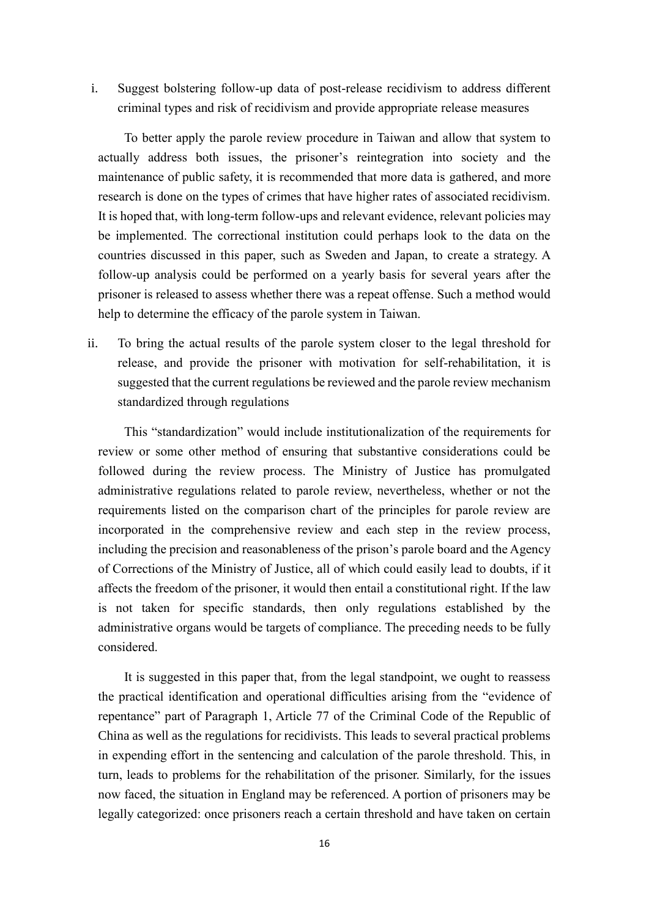i. Suggest bolstering follow-up data of post-release recidivism to address different criminal types and risk of recidivism and provide appropriate release measures

To better apply the parole review procedure in Taiwan and allow that system to actually address both issues, the prisoner's reintegration into society and the maintenance of public safety, it is recommended that more data is gathered, and more research is done on the types of crimes that have higher rates of associated recidivism. It is hoped that, with long-term follow-ups and relevant evidence, relevant policies may be implemented. The correctional institution could perhaps look to the data on the countries discussed in this paper, such as Sweden and Japan, to create a strategy. A follow-up analysis could be performed on a yearly basis for several years after the prisoner is released to assess whether there was a repeat offense. Such a method would help to determine the efficacy of the parole system in Taiwan.

ii. To bring the actual results of the parole system closer to the legal threshold for release, and provide the prisoner with motivation for self-rehabilitation, it is suggested that the current regulations be reviewed and the parole review mechanism standardized through regulations

This "standardization" would include institutionalization of the requirements for review or some other method of ensuring that substantive considerations could be followed during the review process. The Ministry of Justice has promulgated administrative regulations related to parole review, nevertheless, whether or not the requirements listed on the comparison chart of the principles for parole review are incorporated in the comprehensive review and each step in the review process, including the precision and reasonableness of the prison's parole board and the Agency of Corrections of the Ministry of Justice, all of which could easily lead to doubts, if it affects the freedom of the prisoner, it would then entail a constitutional right. If the law is not taken for specific standards, then only regulations established by the administrative organs would be targets of compliance. The preceding needs to be fully considered.

It is suggested in this paper that, from the legal standpoint, we ought to reassess the practical identification and operational difficulties arising from the "evidence of repentance" part of Paragraph 1, Article 77 of the Criminal Code of the Republic of China as well as the regulations for recidivists. This leads to several practical problems in expending effort in the sentencing and calculation of the parole threshold. This, in turn, leads to problems for the rehabilitation of the prisoner. Similarly, for the issues now faced, the situation in England may be referenced. A portion of prisoners may be legally categorized: once prisoners reach a certain threshold and have taken on certain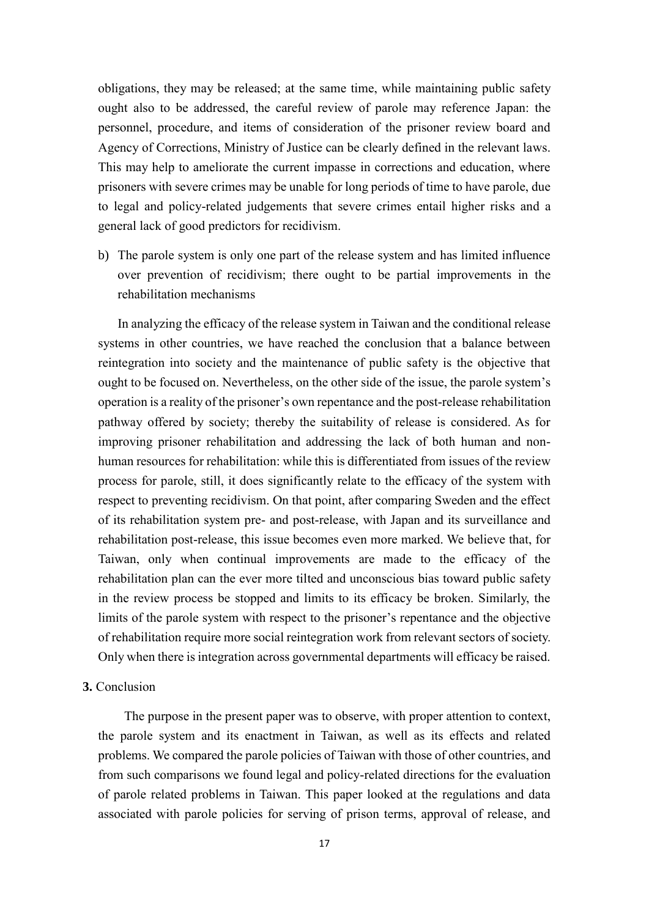obligations, they may be released; at the same time, while maintaining public safety ought also to be addressed, the careful review of parole may reference Japan: the personnel, procedure, and items of consideration of the prisoner review board and Agency of Corrections, Ministry of Justice can be clearly defined in the relevant laws. This may help to ameliorate the current impasse in corrections and education, where prisoners with severe crimes may be unable for long periods of time to have parole, due to legal and policy-related judgements that severe crimes entail higher risks and a general lack of good predictors for recidivism.

b) The parole system is only one part of the release system and has limited influence over prevention of recidivism; there ought to be partial improvements in the rehabilitation mechanisms

In analyzing the efficacy of the release system in Taiwan and the conditional release systems in other countries, we have reached the conclusion that a balance between reintegration into society and the maintenance of public safety is the objective that ought to be focused on. Nevertheless, on the other side of the issue, the parole system's operation is a reality of the prisoner's own repentance and the post-release rehabilitation pathway offered by society; thereby the suitability of release is considered. As for improving prisoner rehabilitation and addressing the lack of both human and nonhuman resources for rehabilitation: while this is differentiated from issues of the review process for parole, still, it does significantly relate to the efficacy of the system with respect to preventing recidivism. On that point, after comparing Sweden and the effect of its rehabilitation system pre- and post-release, with Japan and its surveillance and rehabilitation post-release, this issue becomes even more marked. We believe that, for Taiwan, only when continual improvements are made to the efficacy of the rehabilitation plan can the ever more tilted and unconscious bias toward public safety in the review process be stopped and limits to its efficacy be broken. Similarly, the limits of the parole system with respect to the prisoner's repentance and the objective of rehabilitation require more social reintegration work from relevant sectors of society. Only when there is integration across governmental departments will efficacy be raised.

## <span id="page-18-0"></span>**3.** Conclusion

The purpose in the present paper was to observe, with proper attention to context, the parole system and its enactment in Taiwan, as well as its effects and related problems. We compared the parole policies of Taiwan with those of other countries, and from such comparisons we found legal and policy-related directions for the evaluation of parole related problems in Taiwan. This paper looked at the regulations and data associated with parole policies for serving of prison terms, approval of release, and